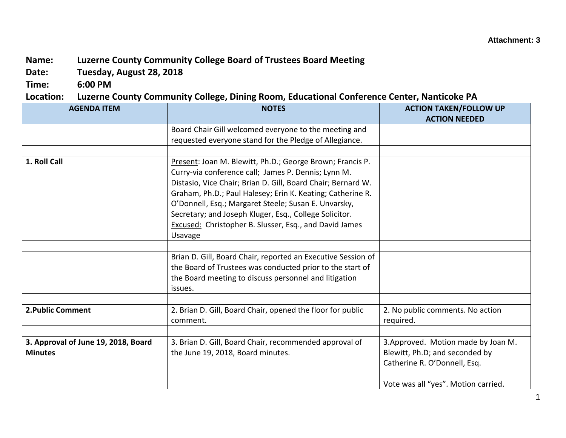## **Name: Luzerne County Community College Board of Trustees Board Meeting**

**Date: Tuesday, August 28, 2018**

**Time: 6:00 PM**

## **Location: Luzerne County Community College, Dining Room, Educational Conference Center, Nanticoke PA**

| <b>AGENDA ITEM</b>                                    | <b>NOTES</b>                                                                                                                                                                                                                                                                                                                                                                                                                                 | <b>ACTION TAKEN/FOLLOW UP</b><br><b>ACTION NEEDED</b>                                                                                        |
|-------------------------------------------------------|----------------------------------------------------------------------------------------------------------------------------------------------------------------------------------------------------------------------------------------------------------------------------------------------------------------------------------------------------------------------------------------------------------------------------------------------|----------------------------------------------------------------------------------------------------------------------------------------------|
|                                                       | Board Chair Gill welcomed everyone to the meeting and<br>requested everyone stand for the Pledge of Allegiance.                                                                                                                                                                                                                                                                                                                              |                                                                                                                                              |
|                                                       |                                                                                                                                                                                                                                                                                                                                                                                                                                              |                                                                                                                                              |
| 1. Roll Call                                          | Present: Joan M. Blewitt, Ph.D.; George Brown; Francis P.<br>Curry-via conference call; James P. Dennis; Lynn M.<br>Distasio, Vice Chair; Brian D. Gill, Board Chair; Bernard W.<br>Graham, Ph.D.; Paul Halesey; Erin K. Keating; Catherine R.<br>O'Donnell, Esq.; Margaret Steele; Susan E. Unvarsky,<br>Secretary; and Joseph Kluger, Esq., College Solicitor.<br><b>Excused: Christopher B. Slusser, Esq., and David James</b><br>Usavage |                                                                                                                                              |
|                                                       |                                                                                                                                                                                                                                                                                                                                                                                                                                              |                                                                                                                                              |
|                                                       | Brian D. Gill, Board Chair, reported an Executive Session of<br>the Board of Trustees was conducted prior to the start of<br>the Board meeting to discuss personnel and litigation<br>issues.                                                                                                                                                                                                                                                |                                                                                                                                              |
| 2. Public Comment                                     | 2. Brian D. Gill, Board Chair, opened the floor for public<br>comment.                                                                                                                                                                                                                                                                                                                                                                       | 2. No public comments. No action<br>required.                                                                                                |
|                                                       |                                                                                                                                                                                                                                                                                                                                                                                                                                              |                                                                                                                                              |
| 3. Approval of June 19, 2018, Board<br><b>Minutes</b> | 3. Brian D. Gill, Board Chair, recommended approval of<br>the June 19, 2018, Board minutes.                                                                                                                                                                                                                                                                                                                                                  | 3. Approved. Motion made by Joan M.<br>Blewitt, Ph.D; and seconded by<br>Catherine R. O'Donnell, Esq.<br>Vote was all "yes". Motion carried. |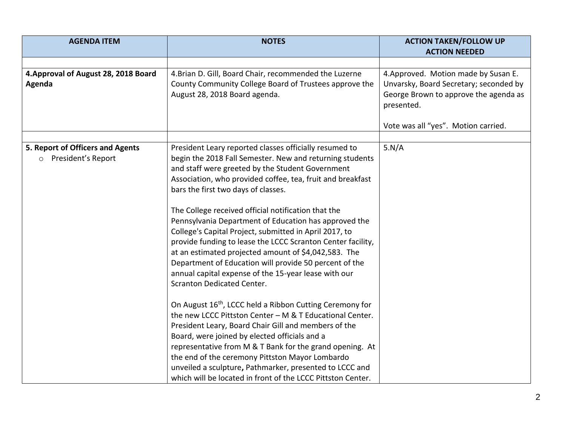| <b>AGENDA ITEM</b>                                       | <b>NOTES</b>                                                                                                                                                                                                                                                                                                                                                                                                                                                                                                                                                                                                                                                                                                                                                                                                                                                                                                                                                                                                                                                                                                                                                                                                              | <b>ACTION TAKEN/FOLLOW UP</b>                                                                                                                                                |
|----------------------------------------------------------|---------------------------------------------------------------------------------------------------------------------------------------------------------------------------------------------------------------------------------------------------------------------------------------------------------------------------------------------------------------------------------------------------------------------------------------------------------------------------------------------------------------------------------------------------------------------------------------------------------------------------------------------------------------------------------------------------------------------------------------------------------------------------------------------------------------------------------------------------------------------------------------------------------------------------------------------------------------------------------------------------------------------------------------------------------------------------------------------------------------------------------------------------------------------------------------------------------------------------|------------------------------------------------------------------------------------------------------------------------------------------------------------------------------|
|                                                          |                                                                                                                                                                                                                                                                                                                                                                                                                                                                                                                                                                                                                                                                                                                                                                                                                                                                                                                                                                                                                                                                                                                                                                                                                           | <b>ACTION NEEDED</b>                                                                                                                                                         |
| 4. Approval of August 28, 2018 Board<br>Agenda           | 4. Brian D. Gill, Board Chair, recommended the Luzerne<br>County Community College Board of Trustees approve the<br>August 28, 2018 Board agenda.                                                                                                                                                                                                                                                                                                                                                                                                                                                                                                                                                                                                                                                                                                                                                                                                                                                                                                                                                                                                                                                                         | 4. Approved. Motion made by Susan E.<br>Unvarsky, Board Secretary; seconded by<br>George Brown to approve the agenda as<br>presented.<br>Vote was all "yes". Motion carried. |
| 5. Report of Officers and Agents<br>o President's Report | President Leary reported classes officially resumed to<br>begin the 2018 Fall Semester. New and returning students<br>and staff were greeted by the Student Government<br>Association, who provided coffee, tea, fruit and breakfast<br>bars the first two days of classes.<br>The College received official notification that the<br>Pennsylvania Department of Education has approved the<br>College's Capital Project, submitted in April 2017, to<br>provide funding to lease the LCCC Scranton Center facility,<br>at an estimated projected amount of \$4,042,583. The<br>Department of Education will provide 50 percent of the<br>annual capital expense of the 15-year lease with our<br><b>Scranton Dedicated Center.</b><br>On August 16 <sup>th</sup> , LCCC held a Ribbon Cutting Ceremony for<br>the new LCCC Pittston Center - M & T Educational Center.<br>President Leary, Board Chair Gill and members of the<br>Board, were joined by elected officials and a<br>representative from M & T Bank for the grand opening. At<br>the end of the ceremony Pittston Mayor Lombardo<br>unveiled a sculpture, Pathmarker, presented to LCCC and<br>which will be located in front of the LCCC Pittston Center. | 5.N/A                                                                                                                                                                        |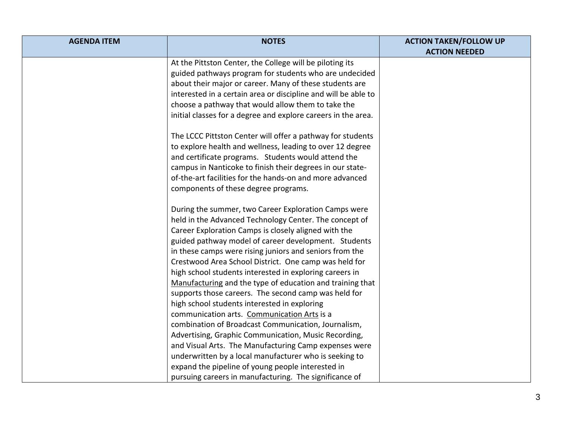| <b>AGENDA ITEM</b> | <b>NOTES</b>                                                   | <b>ACTION TAKEN/FOLLOW UP</b> |
|--------------------|----------------------------------------------------------------|-------------------------------|
|                    |                                                                | <b>ACTION NEEDED</b>          |
|                    | At the Pittston Center, the College will be piloting its       |                               |
|                    | guided pathways program for students who are undecided         |                               |
|                    | about their major or career. Many of these students are        |                               |
|                    | interested in a certain area or discipline and will be able to |                               |
|                    | choose a pathway that would allow them to take the             |                               |
|                    | initial classes for a degree and explore careers in the area.  |                               |
|                    | The LCCC Pittston Center will offer a pathway for students     |                               |
|                    | to explore health and wellness, leading to over 12 degree      |                               |
|                    | and certificate programs. Students would attend the            |                               |
|                    | campus in Nanticoke to finish their degrees in our state-      |                               |
|                    | of-the-art facilities for the hands-on and more advanced       |                               |
|                    | components of these degree programs.                           |                               |
|                    | During the summer, two Career Exploration Camps were           |                               |
|                    | held in the Advanced Technology Center. The concept of         |                               |
|                    | Career Exploration Camps is closely aligned with the           |                               |
|                    | guided pathway model of career development. Students           |                               |
|                    | in these camps were rising juniors and seniors from the        |                               |
|                    | Crestwood Area School District. One camp was held for          |                               |
|                    | high school students interested in exploring careers in        |                               |
|                    | Manufacturing and the type of education and training that      |                               |
|                    | supports those careers. The second camp was held for           |                               |
|                    | high school students interested in exploring                   |                               |
|                    | communication arts. Communication Arts is a                    |                               |
|                    | combination of Broadcast Communication, Journalism,            |                               |
|                    | Advertising, Graphic Communication, Music Recording,           |                               |
|                    | and Visual Arts. The Manufacturing Camp expenses were          |                               |
|                    | underwritten by a local manufacturer who is seeking to         |                               |
|                    | expand the pipeline of young people interested in              |                               |
|                    | pursuing careers in manufacturing. The significance of         |                               |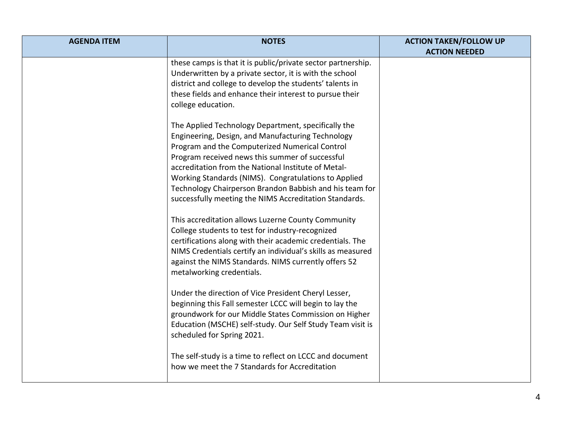| <b>AGENDA ITEM</b> | <b>NOTES</b>                                                                                                                                                                                                                                                                                                                                                                                                                                      | <b>ACTION TAKEN/FOLLOW UP</b><br><b>ACTION NEEDED</b> |
|--------------------|---------------------------------------------------------------------------------------------------------------------------------------------------------------------------------------------------------------------------------------------------------------------------------------------------------------------------------------------------------------------------------------------------------------------------------------------------|-------------------------------------------------------|
|                    | these camps is that it is public/private sector partnership.<br>Underwritten by a private sector, it is with the school<br>district and college to develop the students' talents in<br>these fields and enhance their interest to pursue their<br>college education.                                                                                                                                                                              |                                                       |
|                    | The Applied Technology Department, specifically the<br>Engineering, Design, and Manufacturing Technology<br>Program and the Computerized Numerical Control<br>Program received news this summer of successful<br>accreditation from the National Institute of Metal-<br>Working Standards (NIMS). Congratulations to Applied<br>Technology Chairperson Brandon Babbish and his team for<br>successfully meeting the NIMS Accreditation Standards. |                                                       |
|                    | This accreditation allows Luzerne County Community<br>College students to test for industry-recognized<br>certifications along with their academic credentials. The<br>NIMS Credentials certify an individual's skills as measured<br>against the NIMS Standards. NIMS currently offers 52<br>metalworking credentials.                                                                                                                           |                                                       |
|                    | Under the direction of Vice President Cheryl Lesser,<br>beginning this Fall semester LCCC will begin to lay the<br>groundwork for our Middle States Commission on Higher<br>Education (MSCHE) self-study. Our Self Study Team visit is<br>scheduled for Spring 2021.                                                                                                                                                                              |                                                       |
|                    | The self-study is a time to reflect on LCCC and document<br>how we meet the 7 Standards for Accreditation                                                                                                                                                                                                                                                                                                                                         |                                                       |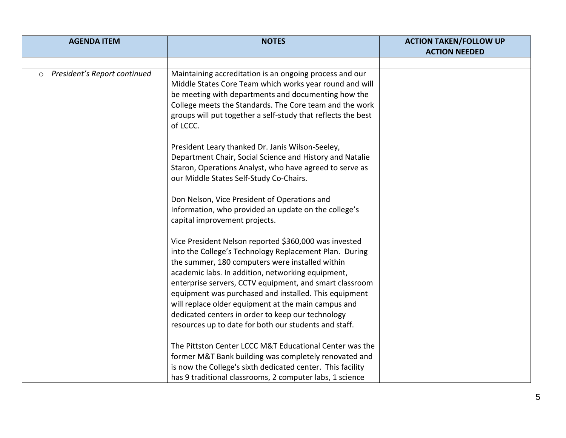| <b>AGENDA ITEM</b>                      | <b>NOTES</b>                                                                                                                                                                                                                                                                                                                                                                                                                                                                                                                                                                | <b>ACTION TAKEN/FOLLOW UP</b> |
|-----------------------------------------|-----------------------------------------------------------------------------------------------------------------------------------------------------------------------------------------------------------------------------------------------------------------------------------------------------------------------------------------------------------------------------------------------------------------------------------------------------------------------------------------------------------------------------------------------------------------------------|-------------------------------|
|                                         |                                                                                                                                                                                                                                                                                                                                                                                                                                                                                                                                                                             | <b>ACTION NEEDED</b>          |
| President's Report continued<br>$\circ$ | Maintaining accreditation is an ongoing process and our<br>Middle States Core Team which works year round and will<br>be meeting with departments and documenting how the<br>College meets the Standards. The Core team and the work<br>groups will put together a self-study that reflects the best                                                                                                                                                                                                                                                                        |                               |
|                                         | of LCCC.<br>President Leary thanked Dr. Janis Wilson-Seeley,<br>Department Chair, Social Science and History and Natalie<br>Staron, Operations Analyst, who have agreed to serve as<br>our Middle States Self-Study Co-Chairs.<br>Don Nelson, Vice President of Operations and<br>Information, who provided an update on the college's<br>capital improvement projects.                                                                                                                                                                                                     |                               |
|                                         | Vice President Nelson reported \$360,000 was invested<br>into the College's Technology Replacement Plan. During<br>the summer, 180 computers were installed within<br>academic labs. In addition, networking equipment,<br>enterprise servers, CCTV equipment, and smart classroom<br>equipment was purchased and installed. This equipment<br>will replace older equipment at the main campus and<br>dedicated centers in order to keep our technology<br>resources up to date for both our students and staff.<br>The Pittston Center LCCC M&T Educational Center was the |                               |
|                                         | former M&T Bank building was completely renovated and<br>is now the College's sixth dedicated center. This facility<br>has 9 traditional classrooms, 2 computer labs, 1 science                                                                                                                                                                                                                                                                                                                                                                                             |                               |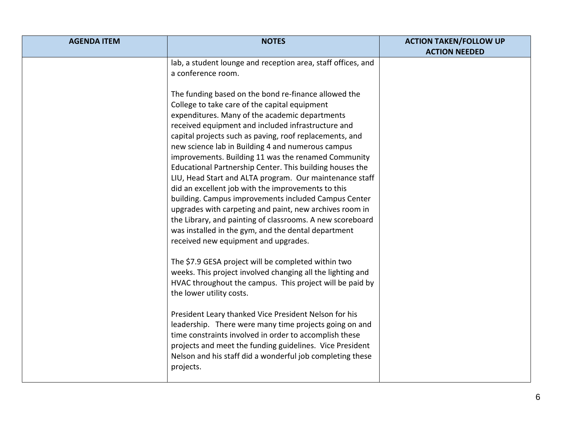| <b>AGENDA ITEM</b> | <b>NOTES</b>                                                                                                                                                                                                                                                                                                                                                                                                                                                                                                                                                                                                                                                                                                                                                                                                                                                                                                                           | <b>ACTION TAKEN/FOLLOW UP</b> |
|--------------------|----------------------------------------------------------------------------------------------------------------------------------------------------------------------------------------------------------------------------------------------------------------------------------------------------------------------------------------------------------------------------------------------------------------------------------------------------------------------------------------------------------------------------------------------------------------------------------------------------------------------------------------------------------------------------------------------------------------------------------------------------------------------------------------------------------------------------------------------------------------------------------------------------------------------------------------|-------------------------------|
|                    | lab, a student lounge and reception area, staff offices, and<br>a conference room.<br>The funding based on the bond re-finance allowed the<br>College to take care of the capital equipment<br>expenditures. Many of the academic departments<br>received equipment and included infrastructure and<br>capital projects such as paving, roof replacements, and<br>new science lab in Building 4 and numerous campus<br>improvements. Building 11 was the renamed Community<br>Educational Partnership Center. This building houses the<br>LIU, Head Start and ALTA program. Our maintenance staff<br>did an excellent job with the improvements to this<br>building. Campus improvements included Campus Center<br>upgrades with carpeting and paint, new archives room in<br>the Library, and painting of classrooms. A new scoreboard<br>was installed in the gym, and the dental department<br>received new equipment and upgrades. | <b>ACTION NEEDED</b>          |
|                    | The \$7.9 GESA project will be completed within two<br>weeks. This project involved changing all the lighting and<br>HVAC throughout the campus. This project will be paid by<br>the lower utility costs.<br>President Leary thanked Vice President Nelson for his<br>leadership. There were many time projects going on and<br>time constraints involved in order to accomplish these<br>projects and meet the funding guidelines. Vice President<br>Nelson and his staff did a wonderful job completing these<br>projects.                                                                                                                                                                                                                                                                                                                                                                                                           |                               |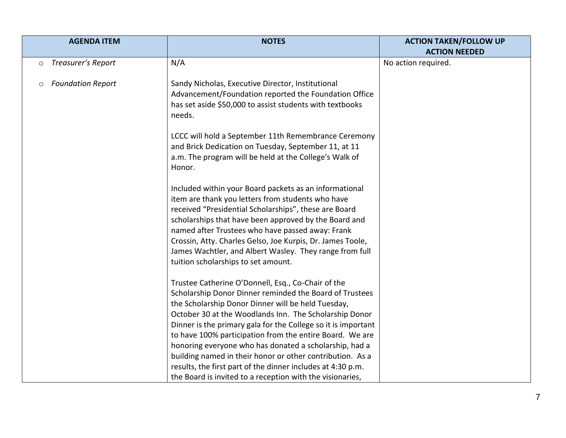| <b>AGENDA ITEM</b>                  | <b>NOTES</b>                                                  | <b>ACTION TAKEN/FOLLOW UP</b><br><b>ACTION NEEDED</b> |
|-------------------------------------|---------------------------------------------------------------|-------------------------------------------------------|
| Treasurer's Report<br>$\circ$       | N/A                                                           | No action required.                                   |
|                                     |                                                               |                                                       |
| <b>Foundation Report</b><br>$\circ$ | Sandy Nicholas, Executive Director, Institutional             |                                                       |
|                                     | Advancement/Foundation reported the Foundation Office         |                                                       |
|                                     | has set aside \$50,000 to assist students with textbooks      |                                                       |
|                                     | needs.                                                        |                                                       |
|                                     |                                                               |                                                       |
|                                     | LCCC will hold a September 11th Remembrance Ceremony          |                                                       |
|                                     | and Brick Dedication on Tuesday, September 11, at 11          |                                                       |
|                                     | a.m. The program will be held at the College's Walk of        |                                                       |
|                                     | Honor.                                                        |                                                       |
|                                     | Included within your Board packets as an informational        |                                                       |
|                                     | item are thank you letters from students who have             |                                                       |
|                                     | received "Presidential Scholarships", these are Board         |                                                       |
|                                     | scholarships that have been approved by the Board and         |                                                       |
|                                     | named after Trustees who have passed away: Frank              |                                                       |
|                                     | Crossin, Atty. Charles Gelso, Joe Kurpis, Dr. James Toole,    |                                                       |
|                                     | James Wachtler, and Albert Wasley. They range from full       |                                                       |
|                                     | tuition scholarships to set amount.                           |                                                       |
|                                     | Trustee Catherine O'Donnell, Esq., Co-Chair of the            |                                                       |
|                                     | Scholarship Donor Dinner reminded the Board of Trustees       |                                                       |
|                                     | the Scholarship Donor Dinner will be held Tuesday,            |                                                       |
|                                     | October 30 at the Woodlands Inn. The Scholarship Donor        |                                                       |
|                                     | Dinner is the primary gala for the College so it is important |                                                       |
|                                     | to have 100% participation from the entire Board. We are      |                                                       |
|                                     | honoring everyone who has donated a scholarship, had a        |                                                       |
|                                     | building named in their honor or other contribution. As a     |                                                       |
|                                     | results, the first part of the dinner includes at 4:30 p.m.   |                                                       |
|                                     | the Board is invited to a reception with the visionaries,     |                                                       |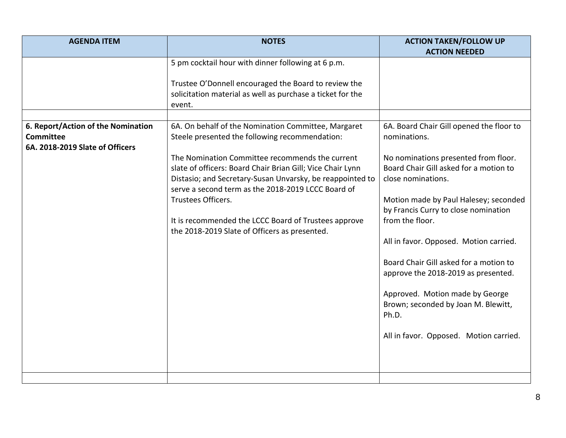| <b>AGENDA ITEM</b>                                                                        | <b>NOTES</b>                                                                                                                                                                                                                     | <b>ACTION TAKEN/FOLLOW UP</b>                                                                        |
|-------------------------------------------------------------------------------------------|----------------------------------------------------------------------------------------------------------------------------------------------------------------------------------------------------------------------------------|------------------------------------------------------------------------------------------------------|
|                                                                                           |                                                                                                                                                                                                                                  | <b>ACTION NEEDED</b>                                                                                 |
|                                                                                           | 5 pm cocktail hour with dinner following at 6 p.m.                                                                                                                                                                               |                                                                                                      |
|                                                                                           | Trustee O'Donnell encouraged the Board to review the                                                                                                                                                                             |                                                                                                      |
|                                                                                           | solicitation material as well as purchase a ticket for the<br>event.                                                                                                                                                             |                                                                                                      |
|                                                                                           |                                                                                                                                                                                                                                  |                                                                                                      |
| 6. Report/Action of the Nomination<br><b>Committee</b><br>6A. 2018-2019 Slate of Officers | 6A. On behalf of the Nomination Committee, Margaret<br>Steele presented the following recommendation:                                                                                                                            | 6A. Board Chair Gill opened the floor to<br>nominations.                                             |
|                                                                                           | The Nomination Committee recommends the current<br>slate of officers: Board Chair Brian Gill; Vice Chair Lynn<br>Distasio; and Secretary-Susan Unvarsky, be reappointed to<br>serve a second term as the 2018-2019 LCCC Board of | No nominations presented from floor.<br>Board Chair Gill asked for a motion to<br>close nominations. |
|                                                                                           | Trustees Officers.                                                                                                                                                                                                               | Motion made by Paul Halesey; seconded<br>by Francis Curry to close nomination                        |
|                                                                                           | It is recommended the LCCC Board of Trustees approve<br>the 2018-2019 Slate of Officers as presented.                                                                                                                            | from the floor.                                                                                      |
|                                                                                           |                                                                                                                                                                                                                                  | All in favor. Opposed. Motion carried.                                                               |
|                                                                                           |                                                                                                                                                                                                                                  | Board Chair Gill asked for a motion to<br>approve the 2018-2019 as presented.                        |
|                                                                                           |                                                                                                                                                                                                                                  | Approved. Motion made by George<br>Brown; seconded by Joan M. Blewitt,<br>Ph.D.                      |
|                                                                                           |                                                                                                                                                                                                                                  | All in favor. Opposed. Motion carried.                                                               |
|                                                                                           |                                                                                                                                                                                                                                  |                                                                                                      |
|                                                                                           |                                                                                                                                                                                                                                  |                                                                                                      |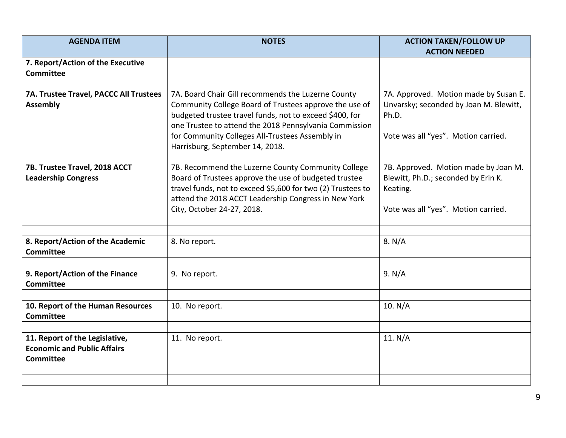| <b>AGENDA ITEM</b>                                                                       | <b>NOTES</b>                                                                                                                                                                                                                                                                                                            | <b>ACTION TAKEN/FOLLOW UP</b>                                                                                                   |
|------------------------------------------------------------------------------------------|-------------------------------------------------------------------------------------------------------------------------------------------------------------------------------------------------------------------------------------------------------------------------------------------------------------------------|---------------------------------------------------------------------------------------------------------------------------------|
|                                                                                          |                                                                                                                                                                                                                                                                                                                         | <b>ACTION NEEDED</b>                                                                                                            |
| 7. Report/Action of the Executive<br><b>Committee</b>                                    |                                                                                                                                                                                                                                                                                                                         |                                                                                                                                 |
| 7A. Trustee Travel, PACCC All Trustees<br><b>Assembly</b>                                | 7A. Board Chair Gill recommends the Luzerne County<br>Community College Board of Trustees approve the use of<br>budgeted trustee travel funds, not to exceed \$400, for<br>one Trustee to attend the 2018 Pennsylvania Commission<br>for Community Colleges All-Trustees Assembly in<br>Harrisburg, September 14, 2018. | 7A. Approved. Motion made by Susan E.<br>Unvarsky; seconded by Joan M. Blewitt,<br>Ph.D.<br>Vote was all "yes". Motion carried. |
| 7B. Trustee Travel, 2018 ACCT<br><b>Leadership Congress</b>                              | 7B. Recommend the Luzerne County Community College<br>Board of Trustees approve the use of budgeted trustee<br>travel funds, not to exceed \$5,600 for two (2) Trustees to<br>attend the 2018 ACCT Leadership Congress in New York<br>City, October 24-27, 2018.                                                        | 7B. Approved. Motion made by Joan M.<br>Blewitt, Ph.D.; seconded by Erin K.<br>Keating.<br>Vote was all "yes". Motion carried.  |
| 8. Report/Action of the Academic<br><b>Committee</b>                                     | 8. No report.                                                                                                                                                                                                                                                                                                           | 8. N/A                                                                                                                          |
| 9. Report/Action of the Finance<br><b>Committee</b>                                      | 9. No report.                                                                                                                                                                                                                                                                                                           | 9. N/A                                                                                                                          |
| 10. Report of the Human Resources<br><b>Committee</b>                                    | 10. No report.                                                                                                                                                                                                                                                                                                          | 10. N/A                                                                                                                         |
|                                                                                          |                                                                                                                                                                                                                                                                                                                         |                                                                                                                                 |
| 11. Report of the Legislative,<br><b>Economic and Public Affairs</b><br><b>Committee</b> | 11. No report.                                                                                                                                                                                                                                                                                                          | 11. $N/A$                                                                                                                       |
|                                                                                          |                                                                                                                                                                                                                                                                                                                         |                                                                                                                                 |